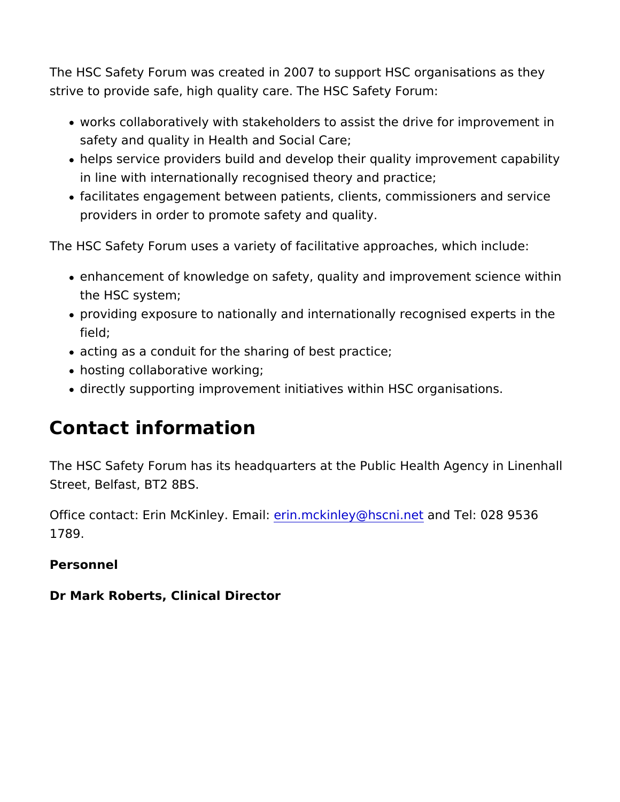The HSC Safety Forum was created in 2007 to support HSC organ strive to provide safe, high quality care. The HSC Safety Forum:

- works collaboratively with stakeholders to assist the drive for safety and quality in Health and Social Care;
- helps service providers build and develop their quality improv in line with internationally recognised theory and practice;
- facilitates engagement between patients, clients, commissione providers in order to promote safety and quality.

The HSC Safety Forum uses a variety of facilitative approaches,

- enhancement of knowledge on safety, quality and improvement the HSC system;
- providing exposure to nationally and internationally recognise field;
- acting as a conduit for the sharing of best practice;
- hosting collaborative working;
- directly supporting improvement initiatives within HSC organis

## Contact information

The HSC Safety Forum has its headquarters at the Public Health. Street, Belfast, BT2 8BS.

Office contact: Erin McKin<del>deiyn.nEmakainlley@hscannidneTtel: 028 9536</del> 1789.

Personnel

Dr Mark Roberts, Clinical Director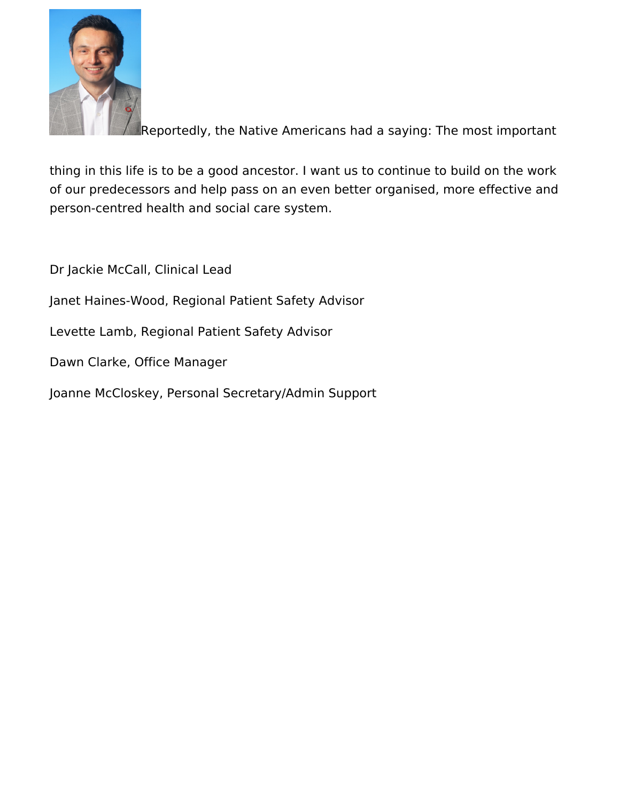

Reportedly, the Native Americans had a saying: The most important

thing in this life is to be a good ancestor. I want us to continue to build on the work of our predecessors and help pass on an even better organised, more effective and person-centred health and social care system.

Dr Jackie McCall, Clinical Lead

Janet Haines-Wood, Regional Patient Safety Advisor

Levette Lamb, Regional Patient Safety Advisor

Dawn Clarke, Office Manager

Joanne McCloskey, Personal Secretary/Admin Support